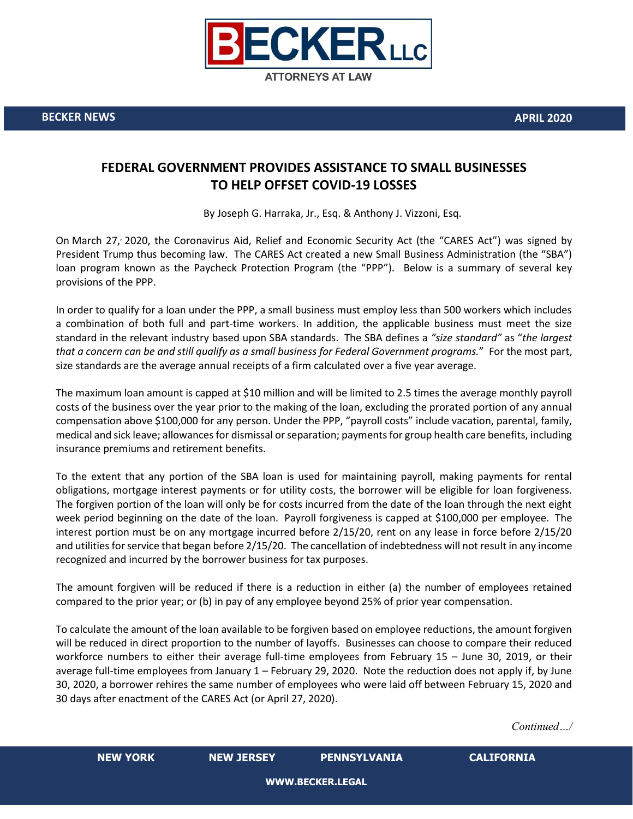

**BECKER NEWS APRIL 2020**

## **FEDERAL GOVERNMENT PROVIDES ASSISTANCE TO SMALL BUSINESSES TO HELP OFFSET COVID-19 LOSSES**

By Joseph G. Harraka, Jr., Esq. & Anthony J. Vizzoni, Esq.

On March 27, 2020, the Coronavirus Aid, Relief and Economic Security Act (the "CARES Act") was signed by President Trump thus becoming law. The CARES Act created a new Small Business Administration (the "SBA") loan program known as the Paycheck Protection Program (the "PPP"). Below is a summary of several key provisions of the PPP.

In order to qualify for a loan under the PPP, a small business must employ less than 500 workers which includes a combination of both full and part-time workers. In addition, the applicable business must meet the size standard in the relevant industry based upon SBA standards. The SBA defines a *"size standard"* as "*the largest that a concern can be and still qualify as a small business for Federal Government programs.*" For the most part, size standards are the average annual receipts of a firm calculated over a five year average.

The maximum loan amount is capped at \$10 million and will be limited to 2.5 times the average monthly payroll costs of the business over the year prior to the making of the loan, excluding the prorated portion of any annual compensation above \$100,000 for any person. Under the PPP, "payroll costs" include vacation, parental, family, medical and sick leave; allowances for dismissal or separation; payments for group health care benefits, including insurance premiums and retirement benefits.

To the extent that any portion of the SBA loan is used for maintaining payroll, making payments for rental obligations, mortgage interest payments or for utility costs, the borrower will be eligible for loan forgiveness. The forgiven portion of the loan will only be for costs incurred from the date of the loan through the next eight week period beginning on the date of the loan. Payroll forgiveness is capped at \$100,000 per employee. The interest portion must be on any mortgage incurred before 2/15/20, rent on any lease in force before 2/15/20 and utilities for service that began before 2/15/20. The cancellation of indebtedness will not result in any income recognized and incurred by the borrower business for tax purposes.

The amount forgiven will be reduced if there is a reduction in either (a) the number of employees retained compared to the prior year; or (b) in pay of any employee beyond 25% of prior year compensation.

To calculate the amount of the loan available to be forgiven based on employee reductions, the amount forgiven will be reduced in direct proportion to the number of layoffs. Businesses can choose to compare their reduced workforce numbers to either their average full-time employees from February 15 – June 30, 2019, or their average full-time employees from January 1 – February 29, 2020. Note the reduction does not apply if, by June 30, 2020, a borrower rehires the same number of employees who were laid off between February 15, 2020 and 30 days after enactment of the CARES Act (or April 27, 2020).

*Continued…/*

|  | NEW YORK |  |
|--|----------|--|
|  |          |  |
|  |          |  |